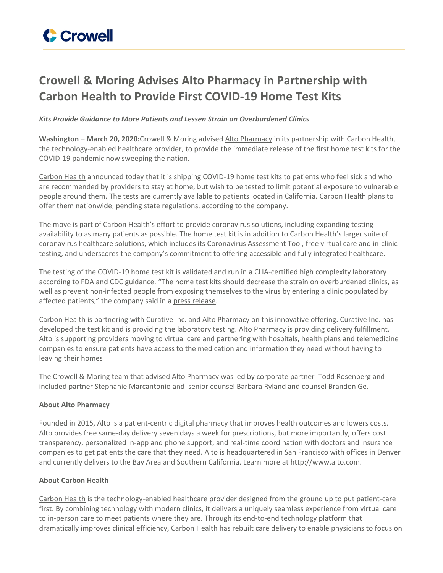

## **Crowell & Moring Advises Alto Pharmacy in Partnership with Carbon Health to Provide First COVID-19 Home Test Kits**

## *Kits Provide Guidance to More Patients and Lessen Strain on Overburdened Clinics*

**Washington – March 20, 2020:**Crowell & Moring advised Alto [Pharmacy](https://alto.com/) in its partnership with Carbon Health, the technology-enabled healthcare provider, to provide the immediate release of the first home test kits for the COVID-19 pandemic now sweeping the nation.

[Carbon](https://cts.businesswire.com/ct/CT?id=smartlink&url=https%3A%2F%2Fcarbonhealth.com&esheet=52192127&newsitemid=20200320005304&lan=en-US&anchor=Carbon+Health&index=1&md5=e09f569f4fe15b2618b0ac056a10d2b0) Health announced today that it is shipping COVID-19 home test kits to patients who feel sick and who are recommended by providers to stay at home, but wish to be tested to limit potential exposure to vulnerable people around them. The tests are currently available to patients located in California. Carbon Health plans to offer them nationwide, pending state regulations, according to the company.

The move is part of Carbon Health's effort to provide coronavirus solutions, including expanding testing availability to as many patients as possible. The home test kit is in addition to Carbon Health's larger suite of coronavirus healthcare solutions, which includes its Coronavirus Assessment Tool, free virtual care and in-clinic testing, and underscores the company's commitment to offering accessible and fully integrated healthcare.

The testing of the COVID-19 home test kit is validated and run in a CLIA-certified high complexity laboratory according to FDA and CDC guidance. "The home test kits should decrease the strain on overburdened clinics, as well as prevent non-infected people from exposing themselves to the virus by entering a clinic populated by affected patients," the company said in a press [release](https://www.businesswire.com/news/home/20200320005304/en/).

Carbon Health is partnering with Curative Inc. and Alto Pharmacy on this innovative offering. Curative Inc. has developed the test kit and is providing the laboratory testing. Alto Pharmacy is providing delivery fulfillment. Alto is supporting providers moving to virtual care and partnering with hospitals, health plans and telemedicine companies to ensure patients have access to the medication and information they need without having to leaving their homes

The Crowell & Moring team that advised Alto Pharmacy was led by corporate partner Todd [Rosenberg](https://www.crowell.com/Professionals/Todd-Rosenberg) and included partner Stephanie [Marcantonio](https://www.crowell.com/professionals/Stephanie-Marcantonio) and senior counsel [Barbara](https://www.crowell.com/Professionals/Barbara-Ryland) Ryland and counsel [Brandon](https://www.crowell.com/Professionals/Brandon-Ge) Ge.

## **About Alto Pharmacy**

Founded in 2015, Alto is a patient-centric digital pharmacy that improves health outcomes and lowers costs. Alto provides free same-day delivery seven days a week for prescriptions, but more importantly, offers cost transparency, personalized in-app and phone support, and real-time coordination with doctors and insurance companies to get patients the care that they need. Alto is headquartered in San Francisco with offices in Denver and currently delivers to the Bay Area and Southern California. Learn more at [http://www.alto.com.](https://cts.businesswire.com/ct/CT?id=smartlink&url=http%3A%2F%2Fwww.alto.com%2F&esheet=52192127&newsitemid=20200320005304&lan=en-US&anchor=http%3A%2F%2Fwww.alto.com&index=6&md5=15751d6d2000accee7f50c40da1eaecb)

## **About Carbon Health**

[Carbon](https://cts.businesswire.com/ct/CT?id=smartlink&url=https%3A%2F%2Fcarbonhealth.com&esheet=52192127&newsitemid=20200320005304&lan=en-US&anchor=Carbon+Health&index=4&md5=5dfeace52cc7b58d55929e734bc8e48a) Health is the technology-enabled healthcare provider designed from the ground up to put patient-care first. By combining technology with modern clinics, it delivers a uniquely seamless experience from virtual care to in-person care to meet patients where they are. Through its end-to-end technology platform that dramatically improves clinical efficiency, Carbon Health has rebuilt care delivery to enable physicians to focus on